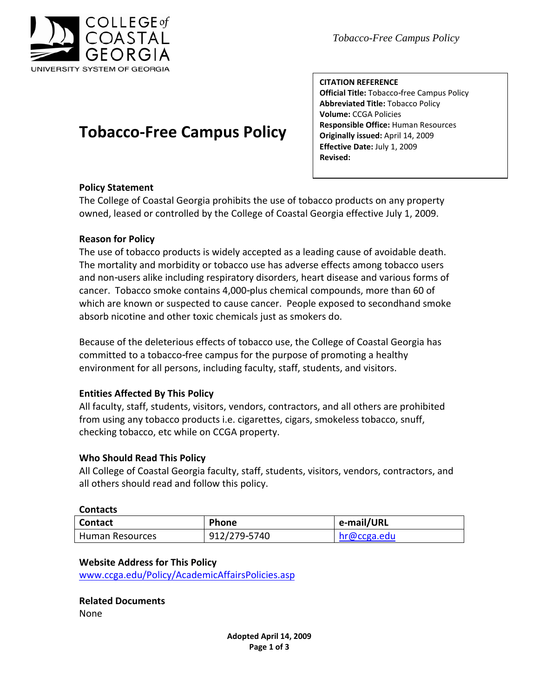

 *Tobacco-Free Campus Policy*

# **Tobacco‐Free Campus Policy**

**CITATION REFERENCE Official Title:** Tobacco free Campus Policy **Abbreviated Title:** Tobacco Policy **Volume:** CCGA Policies **Responsible Office:** Human Resources **Originally issued:** April 14, 2009 **Effective Date:** July 1, 2009 **Revised:**

### **Policy Statement**

The College of Coastal Georgia prohibits the use of tobacco products on any property owned, leased or controlled by the College of Coastal Georgia effective July 1, 2009.

### **Reason for Policy**

The use of tobacco products is widely accepted as a leading cause of avoidable death. The mortality and morbidity or tobacco use has adverse effects among tobacco users and non users alike including respiratory disorders, heart disease and various forms of cancer. Tobacco smoke contains 4,000 plus chemical compounds, more than 60 of which are known or suspected to cause cancer. People exposed to secondhand smoke absorb nicotine and other toxic chemicals just as smokers do.

Because of the deleterious effects of tobacco use, the College of Coastal Georgia has committed to a tobacco free campus for the purpose of promoting a healthy environment for all persons, including faculty, staff, students, and visitors.

### **Entities Affected By This Policy**

All faculty, staff, students, visitors, vendors, contractors, and all others are prohibited from using any tobacco products i.e. cigarettes, cigars, smokeless tobacco, snuff, checking tobacco, etc while on CCGA property.

### **Who Should Read This Policy**

All College of Coastal Georgia faculty, staff, students, visitors, vendors, contractors, and all others should read and follow this policy.

### **Contacts**

| <b>Contact</b>  | Phone        | e-mail/URL  |
|-----------------|--------------|-------------|
| Human Resources | 912/279 5740 | hr@ccga.edu |

### **Website Address for This Policy**

[www.ccga.edu/Policy/AcademicAffairsPolicies.asp](http://www.ccga.edu/Policy/AcademicAffairsPolicies.asp)

## **Related Documents**

None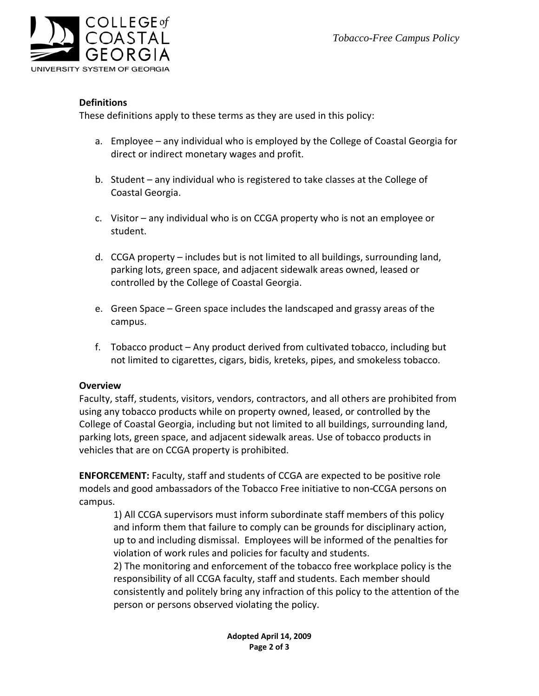

### **Definitions**

These definitions apply to these terms as they are used in this policy:

- a. Employee any individual who is employed by the College of Coastal Georgia for direct or indirect monetary wages and profit.
- b. Student any individual who is registered to take classes at the College of Coastal Georgia.
- c. Visitor any individual who is on CCGA property who is not an employee or student.
- d. CCGA property includes but is not limited to all buildings, surrounding land, parking lots, green space, and adjacent sidewalk areas owned, leased or controlled by the College of Coastal Georgia.
- e. Green Space Green space includes the landscaped and grassy areas of the campus.
- f. Tobacco product Any product derived from cultivated tobacco, including but not limited to cigarettes, cigars, bidis, kreteks, pipes, and smokeless tobacco.

### **Overview**

Faculty, staff, students, visitors, vendors, contractors, and all others are prohibited from using any tobacco products while on property owned, leased, or controlled by the College of Coastal Georgia, including but not limited to all buildings, surrounding land, parking lots, green space, and adjacent sidewalk areas. Use of tobacco products in vehicles that are on CCGA property is prohibited.

**ENFORCEMENT:** Faculty, staff and students of CCGA are expected to be positive role models and good ambassadors of the Tobacco Free initiative to non CCGA persons on campus.

1) All CCGA supervisors must inform subordinate staff members of this policy and inform them that failure to comply can be grounds for disciplinary action, up to and including dismissal. Employees will be informed of the penalties for violation of work rules and policies for faculty and students.

2) The monitoring and enforcement of the tobacco free workplace policy is the responsibility of all CCGA faculty, staff and students. Each member should consistently and politely bring any infraction of this policy to the attention of the person or persons observed violating the policy.